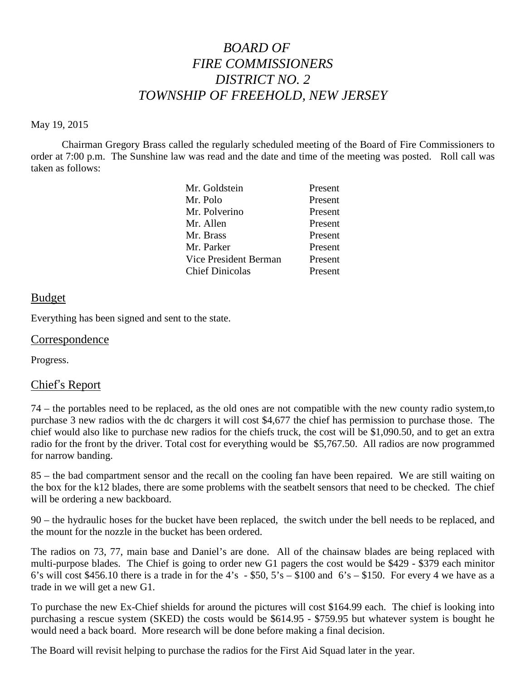# *BOARD OF FIRE COMMISSIONERS DISTRICT NO. 2 TOWNSHIP OF FREEHOLD, NEW JERSEY*

#### May 19, 2015

Chairman Gregory Brass called the regularly scheduled meeting of the Board of Fire Commissioners to order at 7:00 p.m. The Sunshine law was read and the date and time of the meeting was posted. Roll call was taken as follows:

| Mr. Goldstein          | Present |
|------------------------|---------|
| Mr. Polo               | Present |
| Mr. Polverino          | Present |
| Mr. Allen              | Present |
| Mr. Brass              | Present |
| Mr. Parker             | Present |
| Vice President Berman  | Present |
| <b>Chief Dinicolas</b> | Present |

### Budget

Everything has been signed and sent to the state.

#### Correspondence

Progress.

### Chief's Report

74 – the portables need to be replaced, as the old ones are not compatible with the new county radio system,to purchase 3 new radios with the dc chargers itwill cost \$4,677 the chief has permission to purchase those. The chief would also like to purchase new radios for the chiefs truck, the cost will be \$1,090.50, and to get an extra radio for the front by the driver. Total cost for everything would be \$5,767.50. All radios are now programmed for narrow banding.

85 – the bad compartment sensor and the recall on the cooling fan have been repaired. We are still waiting on the box for the k12 blades, there are some problems with the seatbelt sensors that need to be checked. The chief will be ordering a new backboard.

90 – the hydraulic hoses for the bucket have been replaced, the switch under the bell needs to be replaced, and the mount for the nozzle in the bucket has been ordered.

The radios on 73, 77, main base and Daniel's are done. All of the chainsaw blades are being replaced with multi-purpose blades. The Chief is going to order new G1 pagers the cost would be \$429 - \$379 each minitor 6's will cost \$456.10 there is a trade in for the 4's  $-$  \$50, 5's – \$100 and 6's – \$150. For every 4 we have as a trade in we will get a new G1.

To purchase the new Ex-Chief shields for around the pictures will cost \$164.99 each. The chief is looking into purchasing a rescue system (SKED) the costs would be \$614.95 - \$759.95 but whatever system is bought he would need a back board. More research will be done before making a final decision.

The Board will revisit helping to purchase the radios for the First Aid Squad later in the year.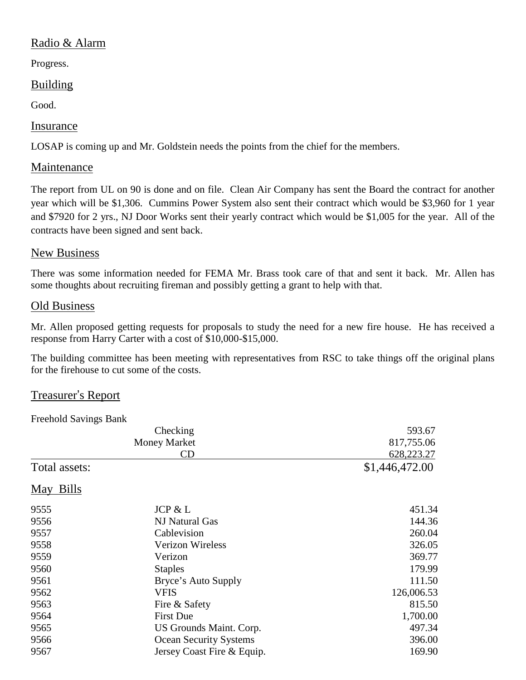# Radio & Alarm

Progress.

# Building

Good.

# Insurance

LOSAP is coming up and Mr. Goldstein needs the points from the chief for the members.

# Maintenance

The report from UL on 90 is done and on file. Clean Air Company has sent the Board the contract for another year which will be \$1,306. Cummins Power System also sent their contract which would be \$3,960 for 1 year and \$7920 for 2 yrs., NJ Door Works sent their yearly contract which would be \$1,005 for the year. All of the contracts have been signed and sent back.

### New Business

There was some information needed for FEMA Mr. Brass took care of that and sent it back. Mr. Allen has some thoughts about recruiting fireman and possibly getting a grant to help with that.

# Old Business

Mr. Allen proposed getting requests for proposals to study the need for a new fire house. He has received a response from Harry Carter with a cost of \$10,000-\$15,000.

The building committee has been meeting with representatives from RSC to take things off the original plans for the firehouse to cut some of the costs.

### Treasurer's Report

Freehold Savings Bank

|                                  | Checking                      | 593.67                     |
|----------------------------------|-------------------------------|----------------------------|
| <b>Money Market</b><br><b>CD</b> |                               | 817,755.06<br>628, 223. 27 |
|                                  |                               |                            |
| May Bills                        |                               |                            |
| 9555                             | JCP & L                       | 451.34                     |
| 9556                             | NJ Natural Gas                | 144.36                     |
| 9557                             | Cablevision                   | 260.04                     |
| 9558                             | <b>Verizon Wireless</b>       | 326.05                     |
| 9559                             | Verizon                       | 369.77                     |
| 9560                             | <b>Staples</b>                | 179.99                     |
| 9561                             | Bryce's Auto Supply           | 111.50                     |
| 9562                             | <b>VFIS</b>                   | 126,006.53                 |
| 9563                             | Fire & Safety                 | 815.50                     |
| 9564                             | <b>First Due</b>              | 1,700.00                   |
| 9565                             | US Grounds Maint. Corp.       | 497.34                     |
| 9566                             | <b>Ocean Security Systems</b> | 396.00                     |
| 9567                             | Jersey Coast Fire & Equip.    | 169.90                     |